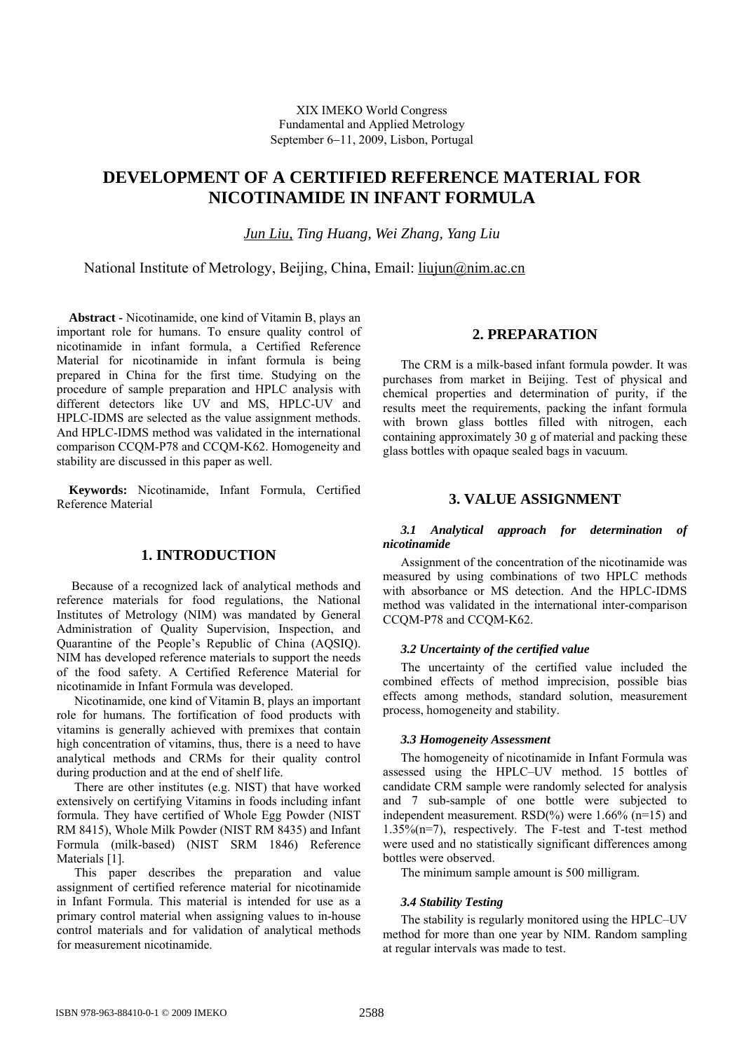# **DEVELOPMENT OF A CERTIFIED REFERENCE MATERIAL FOR NICOTINAMIDE IN INFANT FORMULA**

*Jun Liu, Ting Huang, Wei Zhang, Yang Liu*

National Institute of Metrology, Beijing, China, Email: liujun@nim.ac.cn

**Abstract -** Nicotinamide, one kind of Vitamin B, plays an important role for humans. To ensure quality control of nicotinamide in infant formula, a Certified Reference Material for nicotinamide in infant formula is being prepared in China for the first time. Studying on the procedure of sample preparation and HPLC analysis with different detectors like UV and MS, HPLC-UV and HPLC-IDMS are selected as the value assignment methods. And HPLC-IDMS method was validated in the international comparison CCQM-P78 and CCQM-K62. Homogeneity and stability are discussed in this paper as well.

**Keywords:** Nicotinamide, Infant Formula, Certified Reference Material

# **1. INTRODUCTION**

Because of a recognized lack of analytical methods and reference materials for food regulations, the National Institutes of Metrology (NIM) was mandated by General Administration of Quality Supervision, Inspection, and Quarantine of the People's Republic of China (AQSIQ). NIM has developed reference materials to support the needs of the food safety. A Certified Reference Material for nicotinamide in Infant Formula was developed.

Nicotinamide, one kind of Vitamin B, plays an important role for humans. The fortification of food products with vitamins is generally achieved with premixes that contain high concentration of vitamins, thus, there is a need to have analytical methods and CRMs for their quality control during production and at the end of shelf life.

There are other institutes (e.g. NIST) that have worked extensively on certifying Vitamins in foods including infant formula. They have certified of Whole Egg Powder (NIST RM 8415), Whole Milk Powder (NIST RM 8435) and Infant Formula (milk-based) (NIST SRM 1846) Reference Materials [1].

This paper describes the preparation and value assignment of certified reference material for nicotinamide in Infant Formula. This material is intended for use as a primary control material when assigning values to in-house control materials and for validation of analytical methods for measurement nicotinamide.

# **2. PREPARATION**

The CRM is a milk-based infant formula powder. It was purchases from market in Beijing. Test of physical and chemical properties and determination of purity, if the results meet the requirements, packing the infant formula with brown glass bottles filled with nitrogen, each containing approximately 30 g of material and packing these glass bottles with opaque sealed bags in vacuum.

# **3. VALUE ASSIGNMENT**

### *3.1 Analytical approach for determination of nicotinamide*

Assignment of the concentration of the nicotinamide was measured by using combinations of two HPLC methods with absorbance or MS detection. And the HPLC-IDMS method was validated in the international inter-comparison CCQM-P78 and CCQM-K62.

#### *3.2 Uncertainty of the certified value*

The uncertainty of the certified value included the combined effects of method imprecision, possible bias effects among methods, standard solution, measurement process, homogeneity and stability.

#### *3.3 Homogeneity Assessment*

The homogeneity of nicotinamide in Infant Formula was assessed using the HPLC–UV method. 15 bottles of candidate CRM sample were randomly selected for analysis and 7 sub-sample of one bottle were subjected to independent measurement.  $RSD(\%)$  were 1.66% (n=15) and 1.35%(n=7), respectively. The F-test and T-test method were used and no statistically significant differences among bottles were observed.

The minimum sample amount is 500 milligram.

#### *3.4 Stability Testing*

The stability is regularly monitored using the HPLC–UV method for more than one year by NIM. Random sampling at regular intervals was made to test.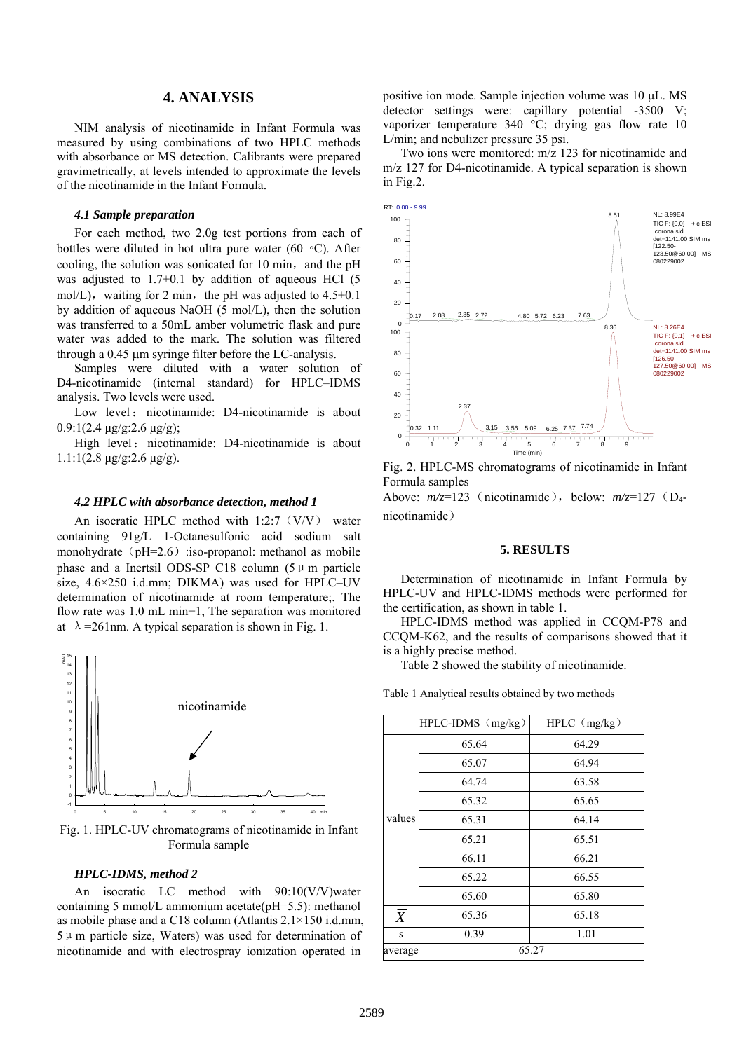### **4. ANALYSIS**

NIM analysis of nicotinamide in Infant Formula was measured by using combinations of two HPLC methods with absorbance or MS detection. Calibrants were prepared gravimetrically, at levels intended to approximate the levels of the nicotinamide in the Infant Formula.

#### *4.1 Sample preparation*

For each method, two 2.0g test portions from each of bottles were diluted in hot ultra pure water (60 ◦C). After cooling, the solution was sonicated for 10 min, and the pH was adjusted to  $1.7\pm0.1$  by addition of aqueous HCl (5) mol/L), waiting for 2 min, the pH was adjusted to  $4.5\pm0.1$ by addition of aqueous NaOH (5 mol/L), then the solution was transferred to a 50mL amber volumetric flask and pure water was added to the mark. The solution was filtered through a 0.45 μm syringe filter before the LC-analysis.

Samples were diluted with a water solution of D4-nicotinamide (internal standard) for HPLC–IDMS analysis. Two levels were used.

Low level: nicotinamide: D4-nicotinamide is about 0.9:1(2.4 μg/g:2.6 μg/g);

High level: nicotinamide: D4-nicotinamide is about  $1.1:1(2.8 \text{ µg/g}:2.6 \text{ µg/g}).$ 

#### *4.2 HPLC with absorbance detection, method 1*

An isocratic HPLC method with  $1:2:7(V/V)$  water containing 91g/L 1-Octanesulfonic acid sodium salt monohydrate ( $pH=2.6$ ) :iso-propanol: methanol as mobile phase and a Inertsil ODS-SP C18 column  $(5 \mu \text{ m})$  particle size, 4.6×250 i.d.mm; DIKMA) was used for HPLC–UV determination of nicotinamide at room temperature;. The flow rate was 1.0 mL min−1, The separation was monitored at  $\lambda = 261$  nm. A typical separation is shown in Fig. 1.



Fig. 1. HPLC-UV chromatograms of nicotinamide in Infant Formula sample

#### *HPLC-IDMS, method 2*

An isocratic LC method with 90:10(V/V)water containing 5 mmol/L ammonium acetate(pH=5.5): methanol as mobile phase and a C18 column (Atlantis 2.1×150 i.d.mm,  $5 \mu$  m particle size, Waters) was used for determination of nicotinamide and with electrospray ionization operated in

positive ion mode. Sample injection volume was 10 μL. MS detector settings were: capillary potential -3500 V; vaporizer temperature 340 °C; drying gas flow rate 10 L/min; and nebulizer pressure 35 psi.

Two ions were monitored: m/z 123 for nicotinamide and m/z 127 for D4-nicotinamide. A typical separation is shown in Fig.2.



Fig. 2. HPLC-MS chromatograms of nicotinamide in Infant Formula samples Above:  $m/z=123$  (nicotinamide), below:  $m/z=127$  (D<sub>4</sub>nicotinamide)

#### **5. RESULTS**

Determination of nicotinamide in Infant Formula by HPLC-UV and HPLC-IDMS methods were performed for the certification, as shown in table 1.

HPLC-IDMS method was applied in CCQM-P78 and CCQM-K62, and the results of comparisons showed that it is a highly precise method.

Table 2 showed the stability of nicotinamide.

Table 1 Analytical results obtained by two methods

|                | HPLC-IDMS (mg/kg) | $HPLC$ (mg/kg) |  |  |  |
|----------------|-------------------|----------------|--|--|--|
| values         | 65.64             | 64.29          |  |  |  |
|                | 65.07             | 64.94          |  |  |  |
|                | 64.74             | 63.58          |  |  |  |
|                | 65.32             | 65.65          |  |  |  |
|                | 65.31             | 64.14          |  |  |  |
|                | 65.21             | 65.51          |  |  |  |
|                | 66.11             | 66.21          |  |  |  |
|                | 65.22             | 66.55          |  |  |  |
|                | 65.60             | 65.80          |  |  |  |
| $\overline{X}$ | 65.36             | 65.18          |  |  |  |
| S              | 0.39              | 1.01           |  |  |  |
| average        | 65.27             |                |  |  |  |